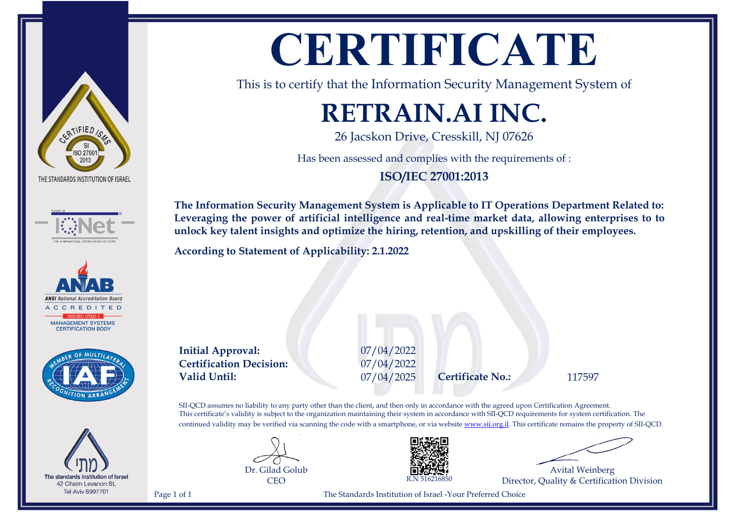# ERTIFIED 15 THE STANDARDS INSTITUTION OF ISRAEL









## **CERTIFICATE**

This is to certify that the Information Security Management System of

### **RETRAIN.AI INC.**

26 Jacskon Drive, Cresskill, NJ 07626

Has been assessed and complies with the requirements of :

**ISO/IEC 27001:2013**

**The Information Security Management System is Applicable to IT Operations Department Related to: Leveraging the power of artificial intelligence and real-time market data, allowing enterprises to to unlock key talent insights and optimize the hiring, retention, and upskilling of their employees.**

**According to Statement of Applicability: 2.1.2022**

**Initial Approval:** 07/04/2022 **Certification Decision:** 07/04/2022 **Valid Until:** 07/04/2025 **Certificate No.:** 117597

SII-QCD assumes no liability to any party other than the client, and then only in accordance with the agreed upon Certification Agreement. This certificate's validity is subject to the organization maintaining their system in accordance with SII-QCD requirements for system certification. The continued validity may be verified via scanning the code with a smartphone, or via website [www.sii.org.il.](http://www.sii.org.il) This certificate remains the property of SII-QCD.





Avital Weinberg Director, Quality & Certification Division

Page 1 of 1 The Standards Institution of Israel -Your Preferred Choice